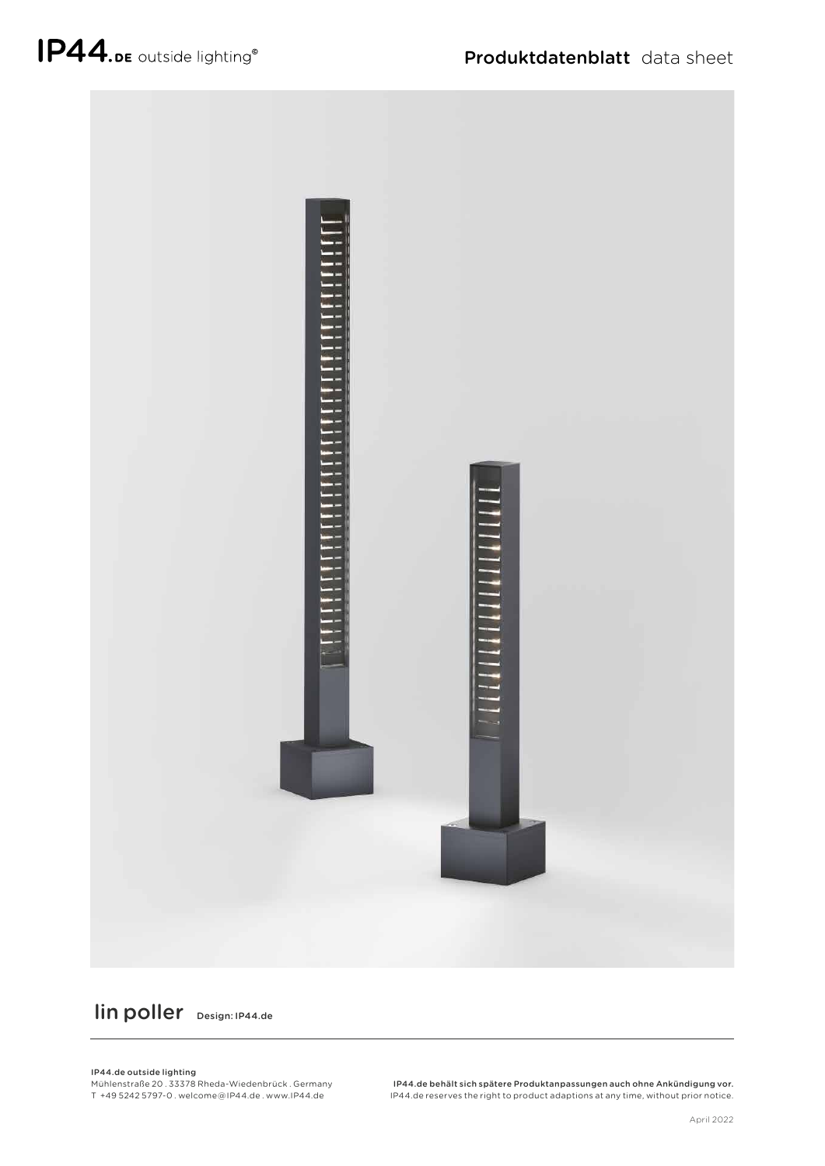

lin poller Design: IP44.de

IP44.de outside lighting

Mühlenstraße 20 . 33378 Rheda-Wiedenbrück . Germany T +49 5242 5797-0 . welcome @ IP44.de . www.IP44.de

IP44.de behält sich spätere Produktanpassungen auch ohne Ankündigung vor. IP44.de reserves the right to product adaptions at any time, without prior notice.